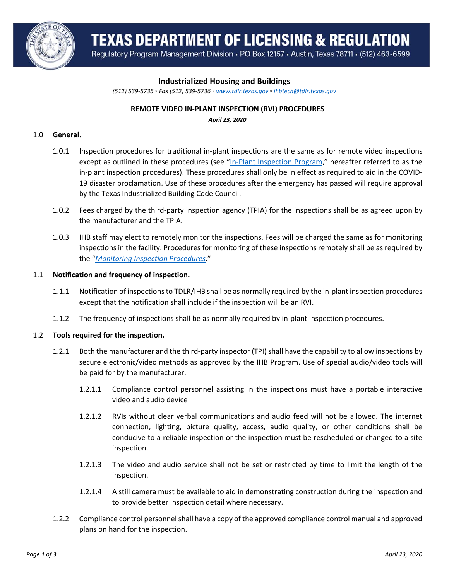

**TEXAS DEPARTMENT OF LICENSING & REGULATION** 

Regulatory Program Management Division . PO Box 12157 . Austin, Texas 78711 . (512) 463-6599

# **Industrialized Housing and Buildings**

*(512) 539-5735 ◦ Fax (512) 539-5736 ◦ [www.tdlr.texas.gov](http://www.tdlr.texas.gov/) ◦ [ihbtech@tdlr.texas.gov](mailto:ihbtech@tdlr.texas.gov)*

# **REMOTE VIDEO IN-PLANT INSPECTION (RVI) PROCEDURES**

*April 23, 2020*

### 1.0 **General.**

- 1.0.1 Inspection procedures for traditional in-plant inspections are the same as for remote video inspections except as outlined in these procedures (see "[In-Plant Inspection Program,](https://www.tdlr.texas.gov/ihb/inplant.htm)" hereafter referred to as the in-plant inspection procedures). These procedures shall only be in effect as required to aid in the COVID-19 disaster proclamation. Use of these procedures after the emergency has passed will require approval by the Texas Industrialized Building Code Council.
- 1.0.2 Fees charged by the third-party inspection agency (TPIA) for the inspections shall be as agreed upon by the manufacturer and the TPIA.
- 1.0.3 IHB staff may elect to remotely monitor the inspections. Fees will be charged the same as for monitoring inspections in the facility. Procedures for monitoring of these inspections remotely shall be as required by the "*[Monitoring Inspection Procedures](https://www.tdlr.texas.gov/ihb/MONprocedures.htm)*."

#### 1.1 **Notification and frequency of inspection.**

- 1.1.1 Notification of inspections to TDLR/IHB shall be as normally required by the in-plant inspection procedures except that the notification shall include if the inspection will be an RVI.
- 1.1.2 The frequency of inspections shall be as normally required by in-plant inspection procedures.

#### 1.2 **Tools required for the inspection.**

- 1.2.1 Both the manufacturer and the third-party inspector (TPI) shall have the capability to allow inspections by secure electronic/video methods as approved by the IHB Program. Use of special audio/video tools will be paid for by the manufacturer.
	- 1.2.1.1 Compliance control personnel assisting in the inspections must have a portable interactive video and audio device
	- 1.2.1.2 RVIs without clear verbal communications and audio feed will not be allowed. The internet connection, lighting, picture quality, access, audio quality, or other conditions shall be conducive to a reliable inspection or the inspection must be rescheduled or changed to a site inspection.
	- 1.2.1.3 The video and audio service shall not be set or restricted by time to limit the length of the inspection.
	- 1.2.1.4 A still camera must be available to aid in demonstrating construction during the inspection and to provide better inspection detail where necessary.
- 1.2.2 Compliance control personnel shall have a copy of the approved compliance control manual and approved plans on hand for the inspection.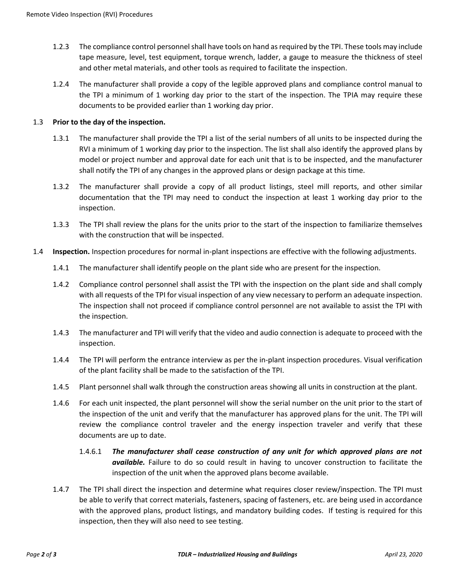- 1.2.3 The compliance control personnel shall have tools on hand as required by the TPI. These tools may include tape measure, level, test equipment, torque wrench, ladder, a gauge to measure the thickness of steel and other metal materials, and other tools as required to facilitate the inspection.
- 1.2.4 The manufacturer shall provide a copy of the legible approved plans and compliance control manual to the TPI a minimum of 1 working day prior to the start of the inspection. The TPIA may require these documents to be provided earlier than 1 working day prior.

# 1.3 **Prior to the day of the inspection.**

- 1.3.1 The manufacturer shall provide the TPI a list of the serial numbers of all units to be inspected during the RVI a minimum of 1 working day prior to the inspection. The list shall also identify the approved plans by model or project number and approval date for each unit that is to be inspected, and the manufacturer shall notify the TPI of any changes in the approved plans or design package at this time.
- 1.3.2 The manufacturer shall provide a copy of all product listings, steel mill reports, and other similar documentation that the TPI may need to conduct the inspection at least 1 working day prior to the inspection.
- 1.3.3 The TPI shall review the plans for the units prior to the start of the inspection to familiarize themselves with the construction that will be inspected.
- 1.4 **Inspection.** Inspection procedures for normal in-plant inspections are effective with the following adjustments.
	- 1.4.1 The manufacturer shall identify people on the plant side who are present for the inspection.
	- 1.4.2 Compliance control personnel shall assist the TPI with the inspection on the plant side and shall comply with all requests of the TPI for visual inspection of any view necessary to perform an adequate inspection. The inspection shall not proceed if compliance control personnel are not available to assist the TPI with the inspection.
	- 1.4.3 The manufacturer and TPI will verify that the video and audio connection is adequate to proceed with the inspection.
	- 1.4.4 The TPI will perform the entrance interview as per the in-plant inspection procedures. Visual verification of the plant facility shall be made to the satisfaction of the TPI.
	- 1.4.5 Plant personnel shall walk through the construction areas showing all units in construction at the plant.
	- 1.4.6 For each unit inspected, the plant personnel will show the serial number on the unit prior to the start of the inspection of the unit and verify that the manufacturer has approved plans for the unit. The TPI will review the compliance control traveler and the energy inspection traveler and verify that these documents are up to date.
		- 1.4.6.1 *The manufacturer shall cease construction of any unit for which approved plans are not available.* Failure to do so could result in having to uncover construction to facilitate the inspection of the unit when the approved plans become available.
	- 1.4.7 The TPI shall direct the inspection and determine what requires closer review/inspection. The TPI must be able to verify that correct materials, fasteners, spacing of fasteners, etc. are being used in accordance with the approved plans, product listings, and mandatory building codes. If testing is required for this inspection, then they will also need to see testing.